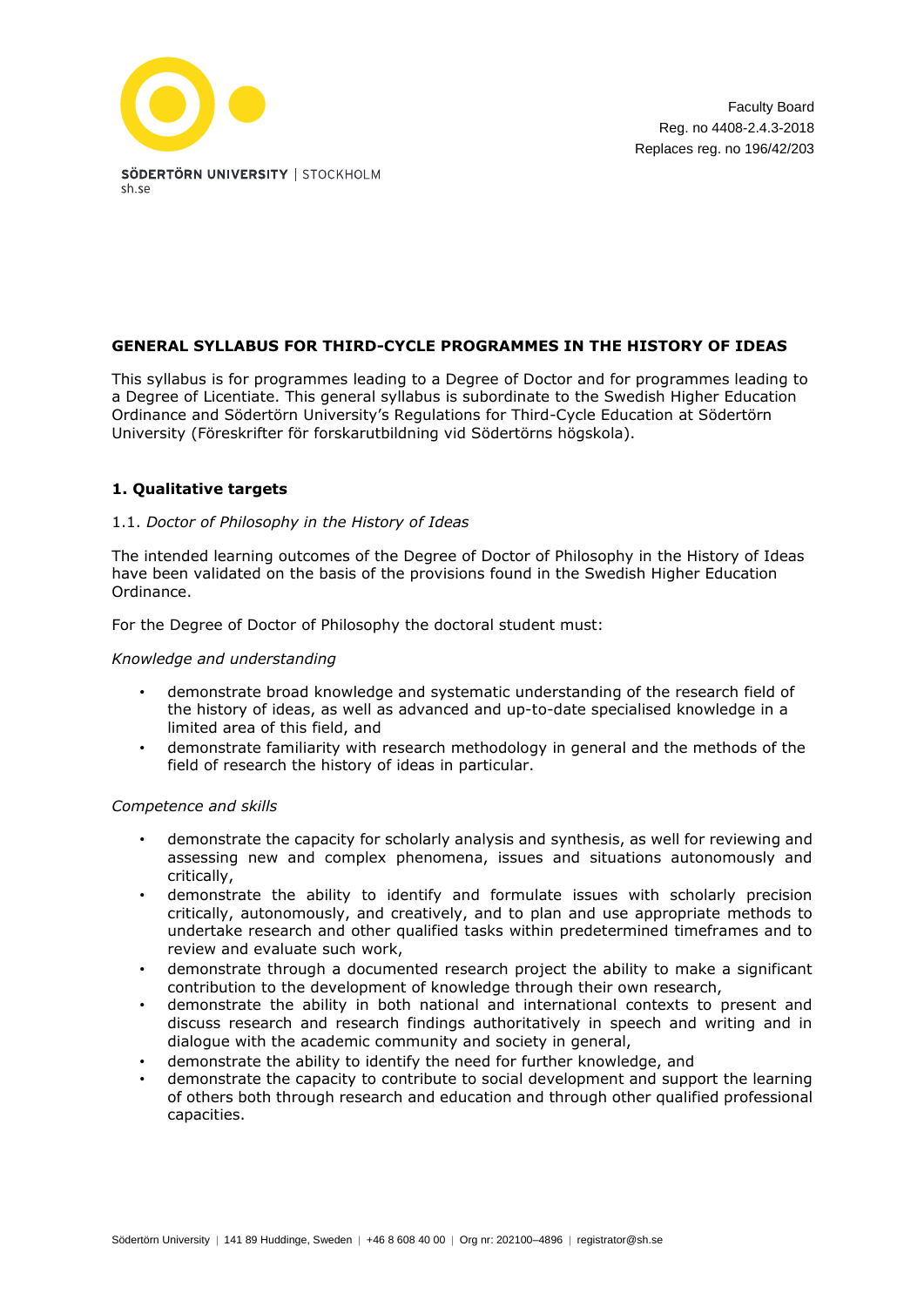

# **GENERAL SYLLABUS FOR THIRD-CYCLE PROGRAMMES IN THE HISTORY OF IDEAS**

This syllabus is for programmes leading to a Degree of Doctor and for programmes leading to a Degree of Licentiate. This general syllabus is subordinate to the Swedish Higher Education Ordinance and Södertörn University's Regulations for Third-Cycle Education at Södertörn University (Föreskrifter för forskarutbildning vid Södertörns högskola).

# **1. Qualitative targets**

## 1.1. *Doctor of Philosophy in the History of Ideas*

The intended learning outcomes of the Degree of Doctor of Philosophy in the History of Ideas have been validated on the basis of the provisions found in the Swedish Higher Education Ordinance.

For the Degree of Doctor of Philosophy the doctoral student must:

### *Knowledge and understanding*

- demonstrate broad knowledge and systematic understanding of the research field of the history of ideas, as well as advanced and up-to-date specialised knowledge in a limited area of this field, and
- demonstrate familiarity with research methodology in general and the methods of the field of research the history of ideas in particular.

### *Competence and skills*

- demonstrate the capacity for scholarly analysis and synthesis, as well for reviewing and assessing new and complex phenomena, issues and situations autonomously and critically,
- demonstrate the ability to identify and formulate issues with scholarly precision critically, autonomously, and creatively, and to plan and use appropriate methods to undertake research and other qualified tasks within predetermined timeframes and to review and evaluate such work,
- demonstrate through a documented research project the ability to make a significant contribution to the development of knowledge through their own research,
- demonstrate the ability in both national and international contexts to present and discuss research and research findings authoritatively in speech and writing and in dialogue with the academic community and society in general,
- demonstrate the ability to identify the need for further knowledge, and
- demonstrate the capacity to contribute to social development and support the learning of others both through research and education and through other qualified professional capacities.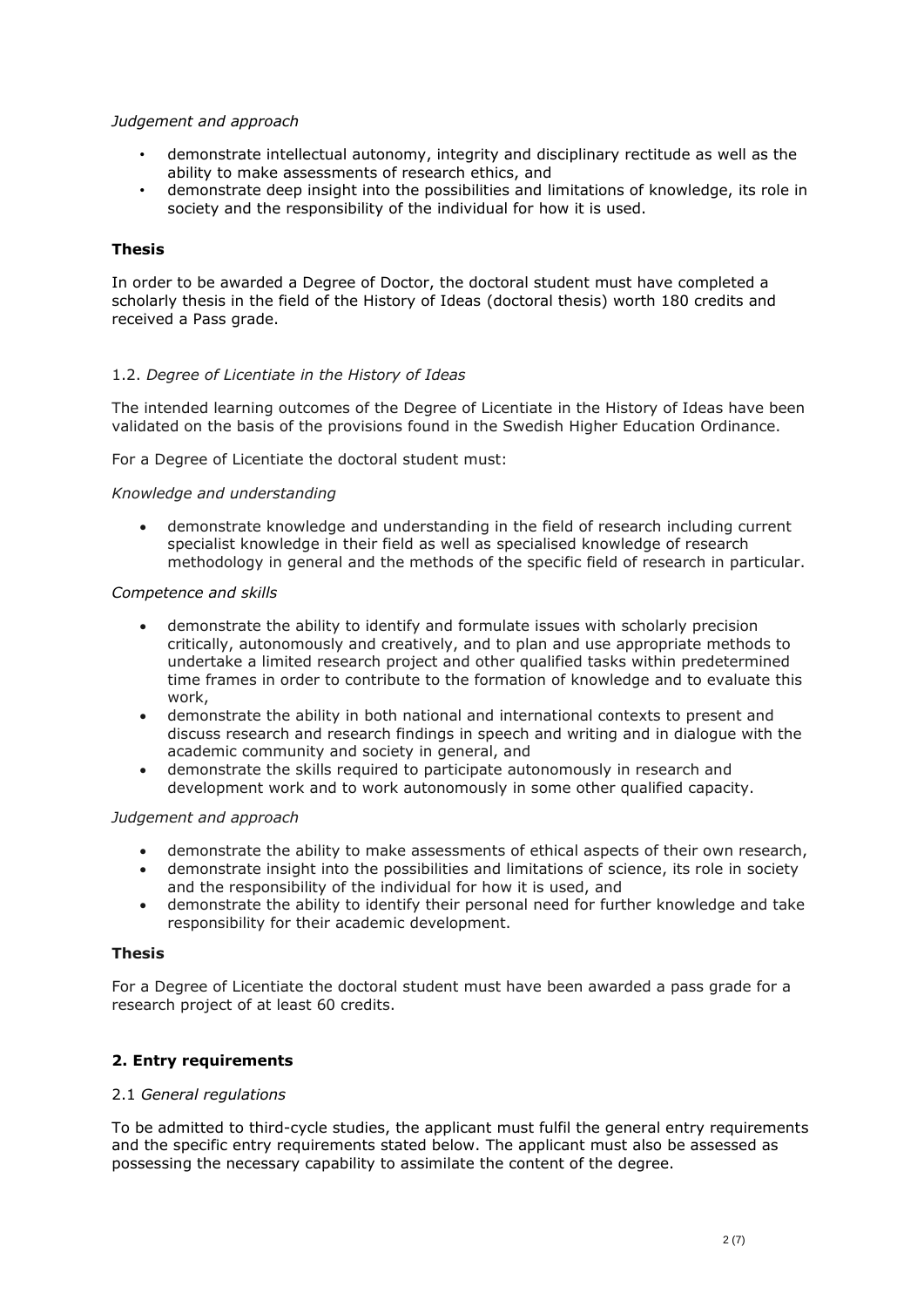## *Judgement and approach*

- demonstrate intellectual autonomy, integrity and disciplinary rectitude as well as the ability to make assessments of research ethics, and
- demonstrate deep insight into the possibilities and limitations of knowledge, its role in society and the responsibility of the individual for how it is used.

## **Thesis**

In order to be awarded a Degree of Doctor, the doctoral student must have completed a scholarly thesis in the field of the History of Ideas (doctoral thesis) worth 180 credits and received a Pass grade.

# 1.2. *Degree of Licentiate in the History of Ideas*

The intended learning outcomes of the Degree of Licentiate in the History of Ideas have been validated on the basis of the provisions found in the Swedish Higher Education Ordinance.

For a Degree of Licentiate the doctoral student must:

### *Knowledge and understanding*

• demonstrate knowledge and understanding in the field of research including current specialist knowledge in their field as well as specialised knowledge of research methodology in general and the methods of the specific field of research in particular.

### *Competence and skills*

- demonstrate the ability to identify and formulate issues with scholarly precision critically, autonomously and creatively, and to plan and use appropriate methods to undertake a limited research project and other qualified tasks within predetermined time frames in order to contribute to the formation of knowledge and to evaluate this work,
- demonstrate the ability in both national and international contexts to present and discuss research and research findings in speech and writing and in dialogue with the academic community and society in general, and
- demonstrate the skills required to participate autonomously in research and development work and to work autonomously in some other qualified capacity.

### *Judgement and approach*

- demonstrate the ability to make assessments of ethical aspects of their own research,
- demonstrate insight into the possibilities and limitations of science, its role in society and the responsibility of the individual for how it is used, and
- demonstrate the ability to identify their personal need for further knowledge and take responsibility for their academic development.

### **Thesis**

For a Degree of Licentiate the doctoral student must have been awarded a pass grade for a research project of at least 60 credits.

# **2. Entry requirements**

# 2.1 *General regulations*

To be admitted to third-cycle studies, the applicant must fulfil the general entry requirements and the specific entry requirements stated below. The applicant must also be assessed as possessing the necessary capability to assimilate the content of the degree.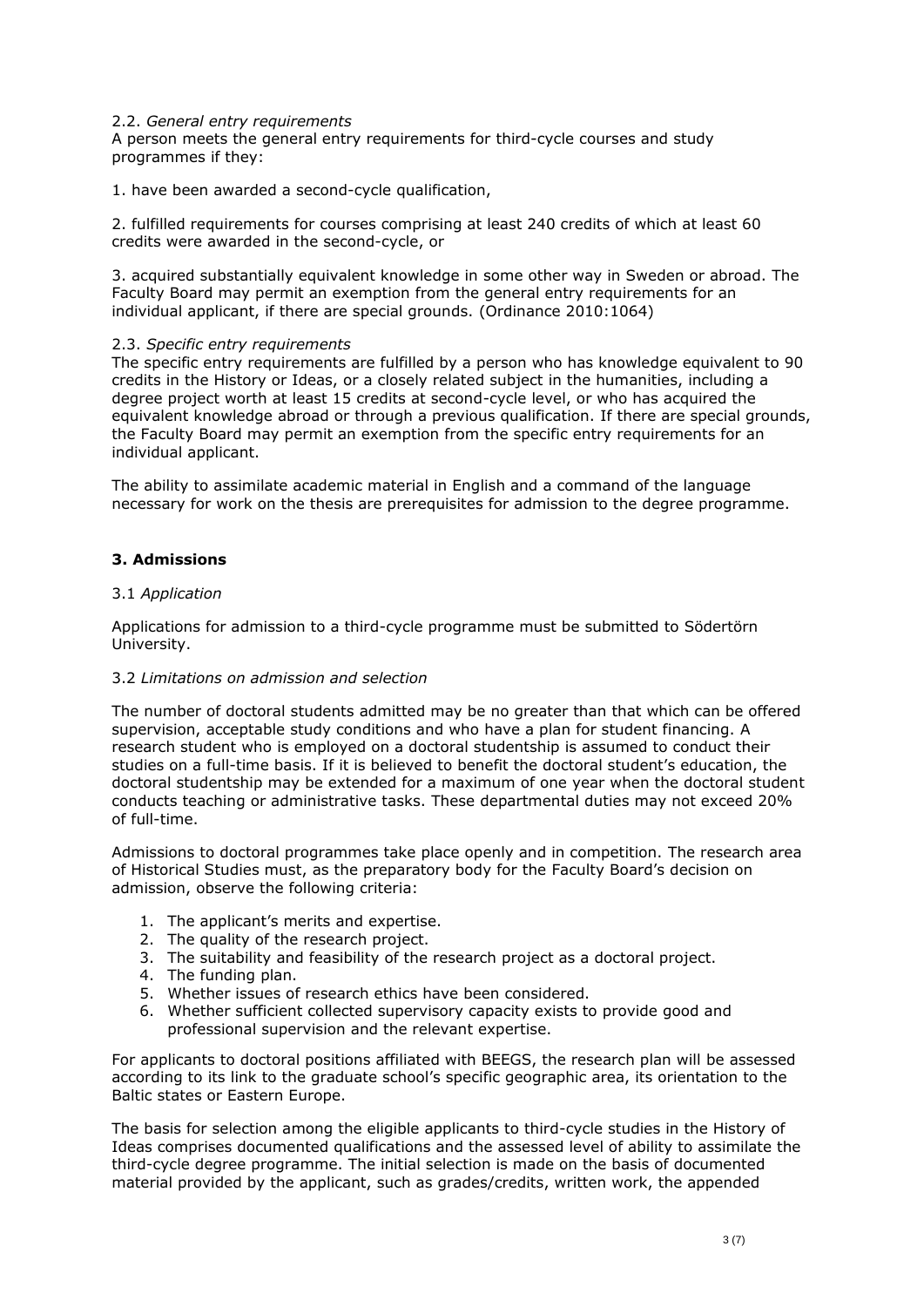### 2.2. *General entry requirements*

A person meets the general entry requirements for third-cycle courses and study programmes if they:

1. have been awarded a second-cycle qualification,

2. fulfilled requirements for courses comprising at least 240 credits of which at least 60 credits were awarded in the second-cycle, or

3. acquired substantially equivalent knowledge in some other way in Sweden or abroad. The Faculty Board may permit an exemption from the general entry requirements for an individual applicant, if there are special grounds. (Ordinance 2010:1064)

### 2.3. *Specific entry requirements*

The specific entry requirements are fulfilled by a person who has knowledge equivalent to 90 credits in the History or Ideas, or a closely related subject in the humanities, including a degree project worth at least 15 credits at second-cycle level, or who has acquired the equivalent knowledge abroad or through a previous qualification. If there are special grounds, the Faculty Board may permit an exemption from the specific entry requirements for an individual applicant.

The ability to assimilate academic material in English and a command of the language necessary for work on the thesis are prerequisites for admission to the degree programme.

# **3. Admissions**

## 3.1 *Application*

Applications for admission to a third-cycle programme must be submitted to Södertörn University.

# 3.2 *Limitations on admission and selection*

The number of doctoral students admitted may be no greater than that which can be offered supervision, acceptable study conditions and who have a plan for student financing. A research student who is employed on a doctoral studentship is assumed to conduct their studies on a full-time basis. If it is believed to benefit the doctoral student's education, the doctoral studentship may be extended for a maximum of one year when the doctoral student conducts teaching or administrative tasks. These departmental duties may not exceed 20% of full-time.

Admissions to doctoral programmes take place openly and in competition. The research area of Historical Studies must, as the preparatory body for the Faculty Board's decision on admission, observe the following criteria:

- 1. The applicant's merits and expertise.
- 2. The quality of the research project.
- 3. The suitability and feasibility of the research project as a doctoral project.
- 4. The funding plan.
- 5. Whether issues of research ethics have been considered.
- 6. Whether sufficient collected supervisory capacity exists to provide good and professional supervision and the relevant expertise.

For applicants to doctoral positions affiliated with BEEGS, the research plan will be assessed according to its link to the graduate school's specific geographic area, its orientation to the Baltic states or Eastern Europe.

The basis for selection among the eligible applicants to third-cycle studies in the History of Ideas comprises documented qualifications and the assessed level of ability to assimilate the third-cycle degree programme. The initial selection is made on the basis of documented material provided by the applicant, such as grades/credits, written work, the appended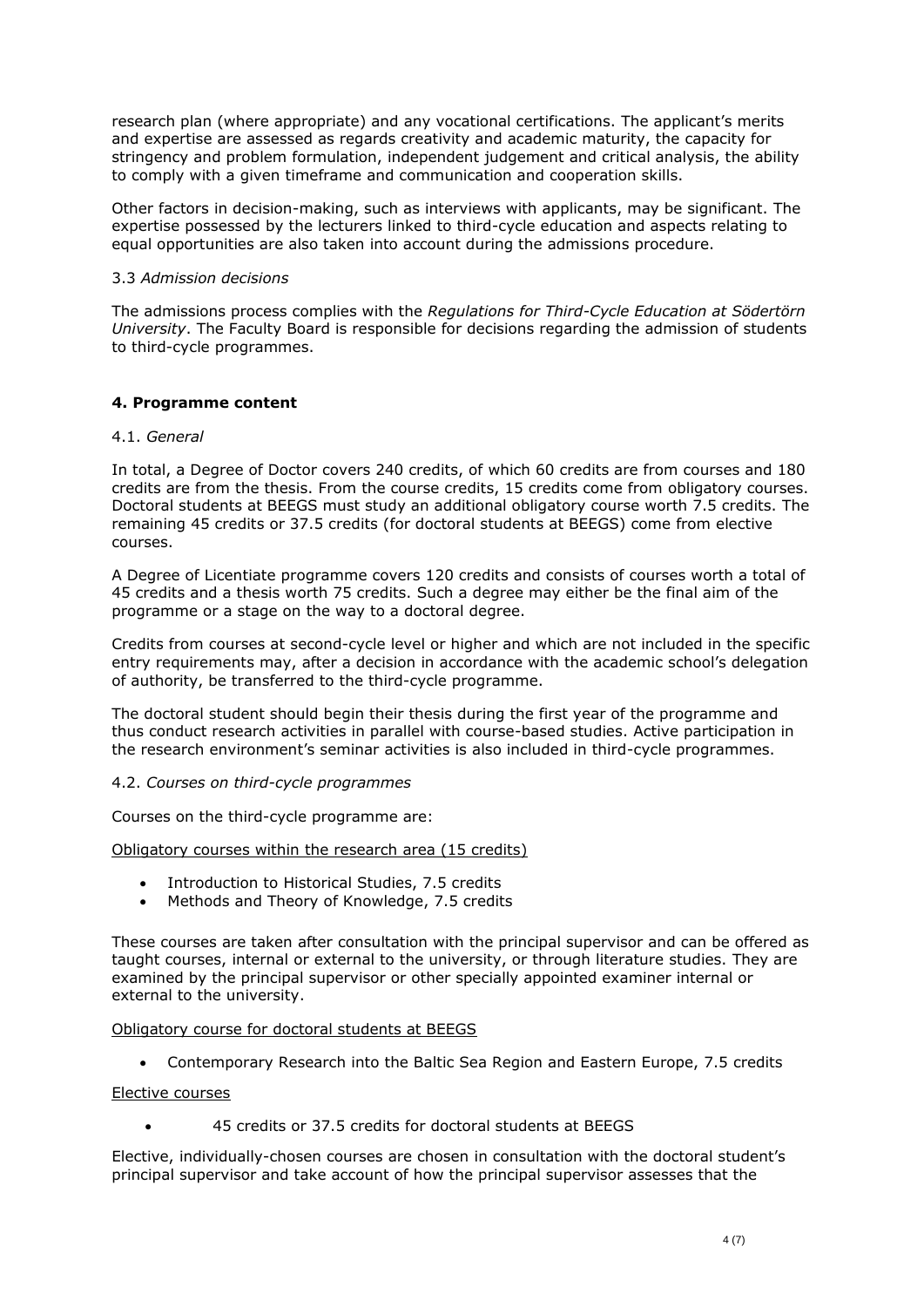research plan (where appropriate) and any vocational certifications. The applicant's merits and expertise are assessed as regards creativity and academic maturity, the capacity for stringency and problem formulation, independent judgement and critical analysis, the ability to comply with a given timeframe and communication and cooperation skills.

Other factors in decision-making, such as interviews with applicants, may be significant. The expertise possessed by the lecturers linked to third-cycle education and aspects relating to equal opportunities are also taken into account during the admissions procedure.

### 3.3 *Admission decisions*

The admissions process complies with the *Regulations for Third-Cycle Education at Södertörn University*. The Faculty Board is responsible for decisions regarding the admission of students to third-cycle programmes.

# **4. Programme content**

## 4.1. *General*

In total, a Degree of Doctor covers 240 credits, of which 60 credits are from courses and 180 credits are from the thesis. From the course credits, 15 credits come from obligatory courses. Doctoral students at BEEGS must study an additional obligatory course worth 7.5 credits. The remaining 45 credits or 37.5 credits (for doctoral students at BEEGS) come from elective courses.

A Degree of Licentiate programme covers 120 credits and consists of courses worth a total of 45 credits and a thesis worth 75 credits. Such a degree may either be the final aim of the programme or a stage on the way to a doctoral degree.

Credits from courses at second-cycle level or higher and which are not included in the specific entry requirements may, after a decision in accordance with the academic school's delegation of authority, be transferred to the third-cycle programme.

The doctoral student should begin their thesis during the first year of the programme and thus conduct research activities in parallel with course-based studies. Active participation in the research environment's seminar activities is also included in third-cycle programmes.

### 4.2. *Courses on third-cycle programmes*

Courses on the third-cycle programme are:

# Obligatory courses within the research area (15 credits)

- Introduction to Historical Studies, 7.5 credits
- Methods and Theory of Knowledge, 7.5 credits

These courses are taken after consultation with the principal supervisor and can be offered as taught courses, internal or external to the university, or through literature studies. They are examined by the principal supervisor or other specially appointed examiner internal or external to the university.

### Obligatory course for doctoral students at BEEGS

• Contemporary Research into the Baltic Sea Region and Eastern Europe, 7.5 credits

### Elective courses

• 45 credits or 37.5 credits for doctoral students at BEEGS

Elective, individually-chosen courses are chosen in consultation with the doctoral student's principal supervisor and take account of how the principal supervisor assesses that the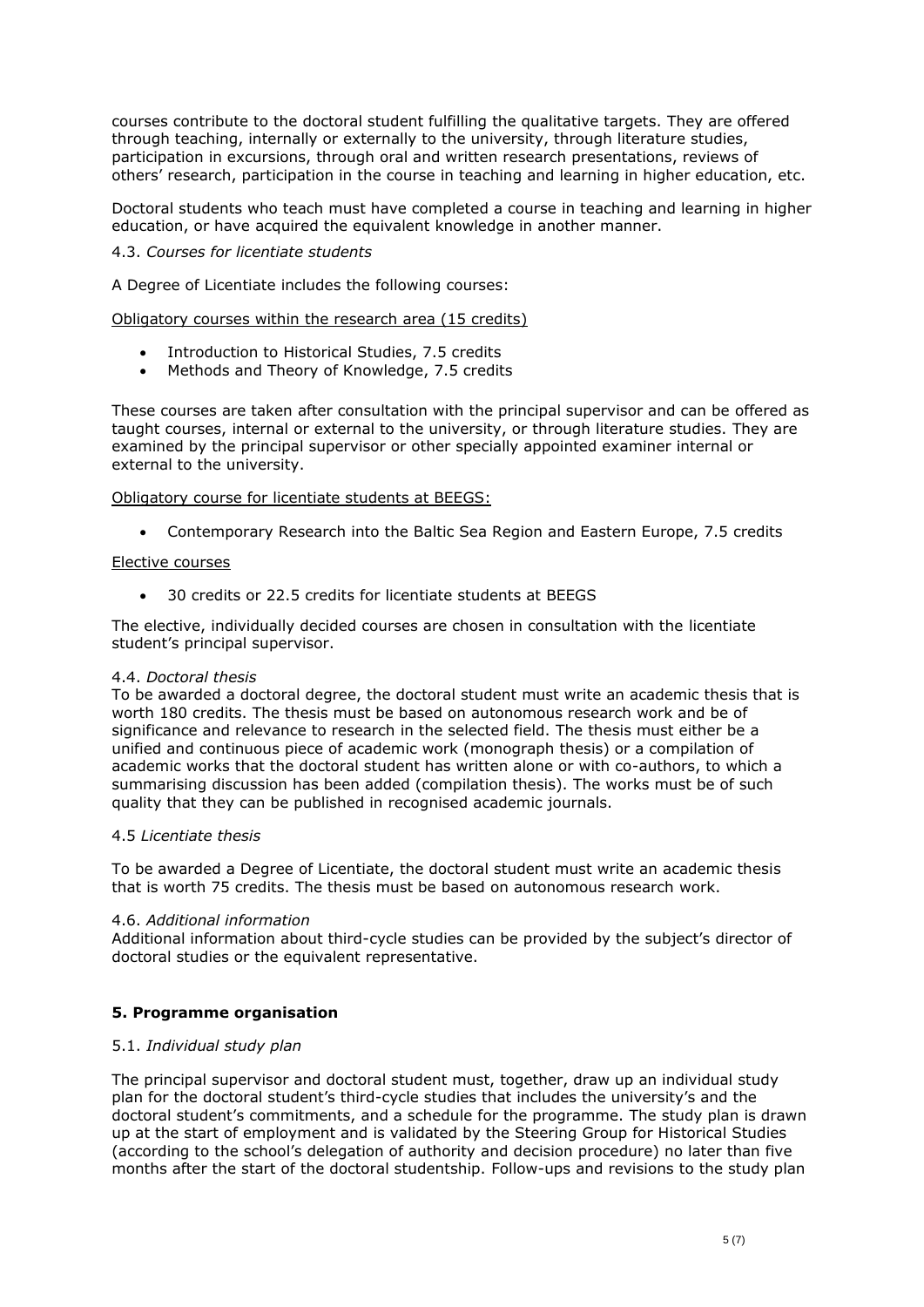courses contribute to the doctoral student fulfilling the qualitative targets. They are offered through teaching, internally or externally to the university, through literature studies, participation in excursions, through oral and written research presentations, reviews of others' research, participation in the course in teaching and learning in higher education, etc.

Doctoral students who teach must have completed a course in teaching and learning in higher education, or have acquired the equivalent knowledge in another manner.

## 4.3. *Courses for licentiate students*

A Degree of Licentiate includes the following courses:

Obligatory courses within the research area (15 credits)

- Introduction to Historical Studies, 7.5 credits
- Methods and Theory of Knowledge, 7.5 credits

These courses are taken after consultation with the principal supervisor and can be offered as taught courses, internal or external to the university, or through literature studies. They are examined by the principal supervisor or other specially appointed examiner internal or external to the university.

### Obligatory course for licentiate students at BEEGS:

• Contemporary Research into the Baltic Sea Region and Eastern Europe, 7.5 credits

### Elective courses

• 30 credits or 22.5 credits for licentiate students at BEEGS

The elective, individually decided courses are chosen in consultation with the licentiate student's principal supervisor.

### 4.4. *Doctoral thesis*

To be awarded a doctoral degree, the doctoral student must write an academic thesis that is worth 180 credits. The thesis must be based on autonomous research work and be of significance and relevance to research in the selected field. The thesis must either be a unified and continuous piece of academic work (monograph thesis) or a compilation of academic works that the doctoral student has written alone or with co-authors, to which a summarising discussion has been added (compilation thesis). The works must be of such quality that they can be published in recognised academic journals.

### 4.5 *Licentiate thesis*

To be awarded a Degree of Licentiate, the doctoral student must write an academic thesis that is worth 75 credits. The thesis must be based on autonomous research work.

### 4.6. *Additional information*

Additional information about third-cycle studies can be provided by the subject's director of doctoral studies or the equivalent representative.

# **5. Programme organisation**

### 5.1. *Individual study plan*

The principal supervisor and doctoral student must, together, draw up an individual study plan for the doctoral student's third-cycle studies that includes the university's and the doctoral student's commitments, and a schedule for the programme. The study plan is drawn up at the start of employment and is validated by the Steering Group for Historical Studies (according to the school's delegation of authority and decision procedure) no later than five months after the start of the doctoral studentship. Follow-ups and revisions to the study plan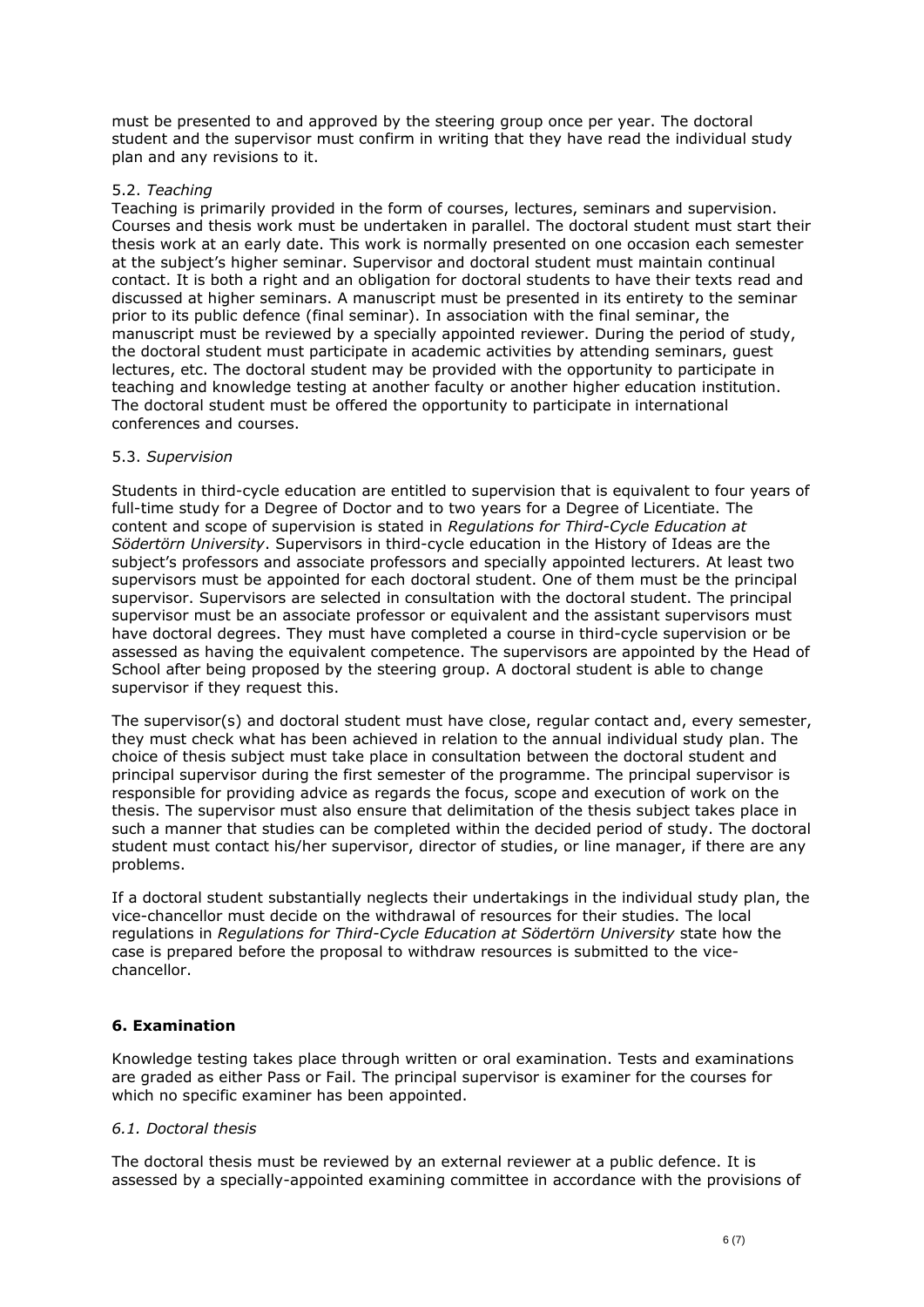must be presented to and approved by the steering group once per year. The doctoral student and the supervisor must confirm in writing that they have read the individual study plan and any revisions to it.

## 5.2. *Teaching*

Teaching is primarily provided in the form of courses, lectures, seminars and supervision. Courses and thesis work must be undertaken in parallel. The doctoral student must start their thesis work at an early date. This work is normally presented on one occasion each semester at the subject's higher seminar. Supervisor and doctoral student must maintain continual contact. It is both a right and an obligation for doctoral students to have their texts read and discussed at higher seminars. A manuscript must be presented in its entirety to the seminar prior to its public defence (final seminar). In association with the final seminar, the manuscript must be reviewed by a specially appointed reviewer. During the period of study, the doctoral student must participate in academic activities by attending seminars, guest lectures, etc. The doctoral student may be provided with the opportunity to participate in teaching and knowledge testing at another faculty or another higher education institution. The doctoral student must be offered the opportunity to participate in international conferences and courses.

### 5.3. *Supervision*

Students in third-cycle education are entitled to supervision that is equivalent to four years of full-time study for a Degree of Doctor and to two years for a Degree of Licentiate. The content and scope of supervision is stated in *Regulations for Third-Cycle Education at Södertörn University*. Supervisors in third-cycle education in the History of Ideas are the subject's professors and associate professors and specially appointed lecturers. At least two supervisors must be appointed for each doctoral student. One of them must be the principal supervisor. Supervisors are selected in consultation with the doctoral student. The principal supervisor must be an associate professor or equivalent and the assistant supervisors must have doctoral degrees. They must have completed a course in third-cycle supervision or be assessed as having the equivalent competence. The supervisors are appointed by the Head of School after being proposed by the steering group. A doctoral student is able to change supervisor if they request this.

The supervisor(s) and doctoral student must have close, regular contact and, every semester, they must check what has been achieved in relation to the annual individual study plan. The choice of thesis subject must take place in consultation between the doctoral student and principal supervisor during the first semester of the programme. The principal supervisor is responsible for providing advice as regards the focus, scope and execution of work on the thesis. The supervisor must also ensure that delimitation of the thesis subject takes place in such a manner that studies can be completed within the decided period of study. The doctoral student must contact his/her supervisor, director of studies, or line manager, if there are any problems.

If a doctoral student substantially neglects their undertakings in the individual study plan, the vice-chancellor must decide on the withdrawal of resources for their studies. The local regulations in *Regulations for Third-Cycle Education at Södertörn University* state how the case is prepared before the proposal to withdraw resources is submitted to the vicechancellor.

# **6. Examination**

Knowledge testing takes place through written or oral examination. Tests and examinations are graded as either Pass or Fail. The principal supervisor is examiner for the courses for which no specific examiner has been appointed.

### *6.1. Doctoral thesis*

The doctoral thesis must be reviewed by an external reviewer at a public defence. It is assessed by a specially-appointed examining committee in accordance with the provisions of